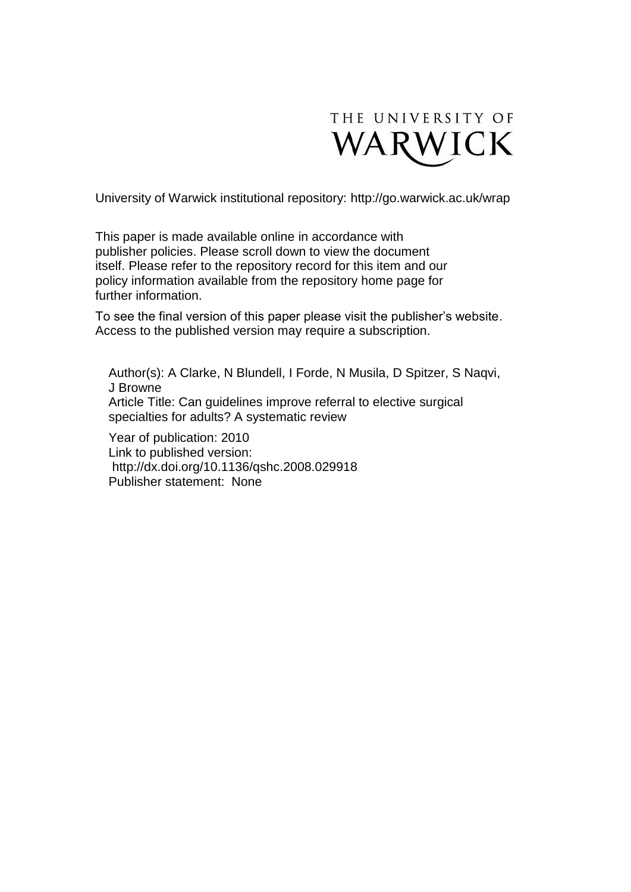

University of Warwick institutional repository:<http://go.warwick.ac.uk/wrap>

This paper is made available online in accordance with publisher policies. Please scroll down to view the document itself. Please refer to the repository record for this item and our policy information available from the repository home page for further information.

To see the final version of this paper please visit the publisher's website. Access to the published version may require a subscription.

Author(s): A Clarke, N Blundell, I Forde, N Musila, D Spitzer, S Naqvi, J Browne Article Title: Can guidelines improve referral to elective surgical specialties for adults? A systematic review Year of publication: 2010

Link to published version: http://dx.doi.org/10.1136/qshc.2008.029918 Publisher statement: None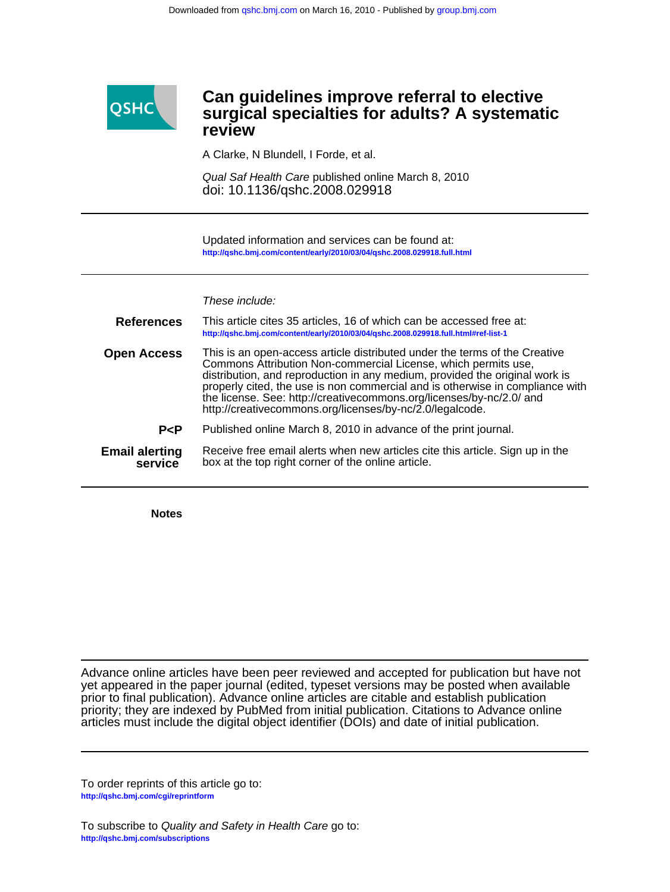

## **review surgical specialties for adults? A systematic Can guidelines improve referral to elective**

A Clarke, N Blundell, I Forde, et al.

doi: 10.1136/qshc.2008.029918 Qual Saf Health Care published online March 8, 2010

**<http://qshc.bmj.com/content/early/2010/03/04/qshc.2008.029918.full.html>** Updated information and services can be found at:

These include:

| <b>References</b>                | This article cites 35 articles, 16 of which can be accessed free at:<br>http://qshc.bmj.com/content/early/2010/03/04/qshc.2008.029918.full.html#ref-list-1                                                                                                                                                                                                                                                                                       |
|----------------------------------|--------------------------------------------------------------------------------------------------------------------------------------------------------------------------------------------------------------------------------------------------------------------------------------------------------------------------------------------------------------------------------------------------------------------------------------------------|
| <b>Open Access</b>               | This is an open-access article distributed under the terms of the Creative<br>Commons Attribution Non-commercial License, which permits use,<br>distribution, and reproduction in any medium, provided the original work is<br>properly cited, the use is non commercial and is otherwise in compliance with<br>the license. See: http://creativecommons.org/licenses/by-nc/2.0/ and<br>http://creativecommons.org/licenses/by-nc/2.0/legalcode. |
| P < P                            | Published online March 8, 2010 in advance of the print journal.                                                                                                                                                                                                                                                                                                                                                                                  |
| <b>Email alerting</b><br>service | Receive free email alerts when new articles cite this article. Sign up in the<br>box at the top right corner of the online article.                                                                                                                                                                                                                                                                                                              |

**Notes**

articles must include the digital object identifier (DOIs) and date of initial publication. priority; they are indexed by PubMed from initial publication. Citations to Advance online prior to final publication). Advance online articles are citable and establish publication yet appeared in the paper journal (edited, typeset versions may be posted when available Advance online articles have been peer reviewed and accepted for publication but have not

**<http://qshc.bmj.com/cgi/reprintform>** To order reprints of this article go to:

**<http://qshc.bmj.com/subscriptions>** To subscribe to Quality and Safety in Health Care go to: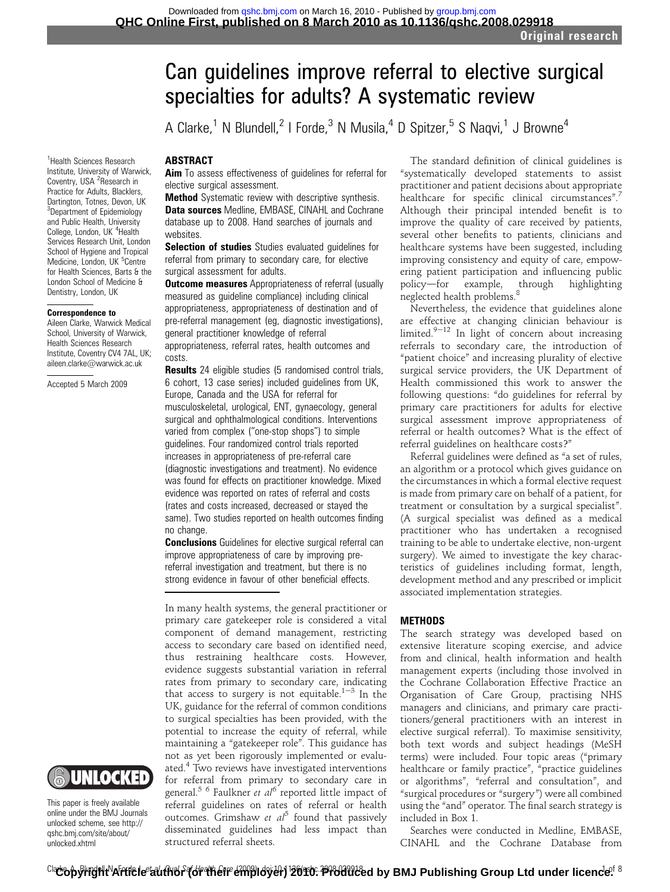# Can guidelines improve referral to elective surgical specialties for adults? A systematic review

A Clarke,<sup>1</sup> N Blundell,<sup>2</sup> I Forde,<sup>3</sup> N Musila,<sup>4</sup> D Spitzer,<sup>5</sup> S Naqvi,<sup>1</sup> J Browne<sup>4</sup>

#### ABSTRACT

Aim To assess effectiveness of guidelines for referral for elective surgical assessment.

**Method** Systematic review with descriptive synthesis. Data sources Medline, EMBASE, CINAHL and Cochrane database up to 2008. Hand searches of journals and websites.

**Selection of studies** Studies evaluated quidelines for referral from primary to secondary care, for elective surgical assessment for adults.

**Outcome measures** Appropriateness of referral (usually measured as guideline compliance) including clinical appropriateness, appropriateness of destination and of pre-referral management (eg, diagnostic investigations), general practitioner knowledge of referral appropriateness, referral rates, health outcomes and costs.

**Results** 24 eligible studies (5 randomised control trials, 6 cohort, 13 case series) included guidelines from UK, Europe, Canada and the USA for referral for musculoskeletal, urological, ENT, gynaecology, general surgical and ophthalmological conditions. Interventions varied from complex ("one-stop shops") to simple guidelines. Four randomized control trials reported increases in appropriateness of pre-referral care (diagnostic investigations and treatment). No evidence was found for effects on practitioner knowledge. Mixed evidence was reported on rates of referral and costs (rates and costs increased, decreased or stayed the same). Two studies reported on health outcomes finding no change.

**Conclusions** Guidelines for elective surgical referral can improve appropriateness of care by improving prereferral investigation and treatment, but there is no strong evidence in favour of other beneficial effects.

In many health systems, the general practitioner or primary care gatekeeper role is considered a vital component of demand management, restricting access to secondary care based on identified need, thus restraining healthcare costs. However, evidence suggests substantial variation in referral rates from primary to secondary care, indicating that access to surgery is not equitable.<sup>1-3</sup> In the UK, guidance for the referral of common conditions to surgical specialties has been provided, with the potential to increase the equity of referral, while maintaining a "gatekeeper role". This guidance has not as yet been rigorously implemented or evaluated.<sup>4</sup> Two reviews have investigated interventions for referral from primary to secondary care in general.<sup>5 6</sup> Faulkner et  $al^{6}$  reported little impact of referral guidelines on rates of referral or health outcomes. Grimshaw et  $a^{5}$  found that passively disseminated guidelines had less impact than structured referral sheets.

The standard definition of clinical guidelines is "systematically developed statements to assist practitioner and patient decisions about appropriate healthcare for specific clinical circumstances".<sup>7</sup> Although their principal intended benefit is to improve the quality of care received by patients, several other benefits to patients, clinicians and healthcare systems have been suggested, including improving consistency and equity of care, empowering patient participation and influencing public<br>policy—for example, through highlighting policy-for example, through highlighting neglected health problems.  $^{\rm 8}$ 

Nevertheless, the evidence that guidelines alone are effective at changing clinician behaviour is limited. $9-12$  In light of concern about increasing referrals to secondary care, the introduction of "patient choice" and increasing plurality of elective surgical service providers, the UK Department of Health commissioned this work to answer the following questions: "do guidelines for referral by primary care practitioners for adults for elective surgical assessment improve appropriateness of referral or health outcomes? What is the effect of referral guidelines on healthcare costs?"

Referral guidelines were defined as "a set of rules, an algorithm or a protocol which gives guidance on the circumstances in which a formal elective request is made from primary care on behalf of a patient, for treatment or consultation by a surgical specialist". (A surgical specialist was defined as a medical practitioner who has undertaken a recognised training to be able to undertake elective, non-urgent surgery). We aimed to investigate the key characteristics of guidelines including format, length, development method and any prescribed or implicit associated implementation strategies.

#### **METHODS**

The search strategy was developed based on extensive literature scoping exercise, and advice from and clinical, health information and health management experts (including those involved in the Cochrane Collaboration Effective Practice an Organisation of Care Group, practising NHS managers and clinicians, and primary care practitioners/general practitioners with an interest in elective surgical referral). To maximise sensitivity, both text words and subject headings (MeSH terms) were included. Four topic areas ("primary healthcare or family practice", "practice guidelines or algorithms", "referral and consultation", and "surgical procedures or "surgery") were all combined using the "and" operator. The final search strategy is included in Box 1.

Searches were conducted in Medline, EMBASE, CINAHL and the Cochrane Database from

<sup>1</sup>Health Sciences Research Institute, University of Warwick, Coventry, USA <sup>2</sup>Research in Practice for Adults, Blacklers, Dartington, Totnes, Devon, UK <sup>3</sup>Department of Epidemiology and Public Health, University College, London, UK <sup>4</sup>Health Services Research Unit, London School of Hygiene and Tropical Medicine, London, UK <sup>5</sup>Centre for Health Sciences, Barts & the London School of Medicine & Dentistry, London, UK

#### Correspondence to

Aileen Clarke, Warwick Medical School, University of Warwick, Health Sciences Research Institute, Coventry CV4 7AL, UK; aileen.clarke@warwick.ac.uk

Accepted 5 March 2009



This paper is freely available online under the BMJ Journals unlocked scheme, see http:// qshc.bmj.com/site/about/ unlocked.xhtml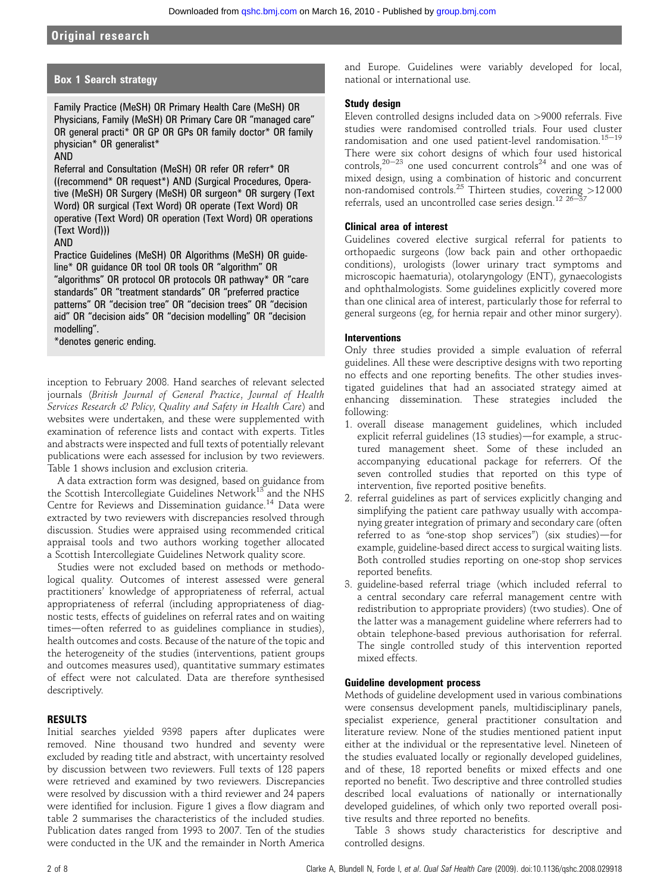## Box 1 Search strategy

Family Practice (MeSH) OR Primary Health Care (MeSH) OR Physicians, Family (MeSH) OR Primary Care OR "managed care" OR general practi\* OR GP OR GPs OR family doctor\* OR family physician\* OR generalist\*

#### AND

Referral and Consultation (MeSH) OR refer OR referr\* OR ((recommend\* OR request\*) AND (Surgical Procedures, Operative (MeSH) OR Surgery (MeSH) OR surgeon\* OR surgery (Text Word) OR surgical (Text Word) OR operate (Text Word) OR operative (Text Word) OR operation (Text Word) OR operations (Text Word)))

#### AND

Practice Guidelines (MeSH) OR Algorithms (MeSH) OR guideline\* OR guidance OR tool OR tools OR "algorithm" OR "algorithms" OR protocol OR protocols OR pathway\* OR "care standards" OR "treatment standards" OR "preferred practice patterns" OR "decision tree" OR "decision trees" OR "decision aid" OR "decision aids" OR "decision modelling" OR "decision modelling".

\*denotes generic ending.

inception to February 2008. Hand searches of relevant selected journals (British Journal of General Practice, Journal of Health Services Research & Policy, Quality and Safety in Health Care) and websites were undertaken, and these were supplemented with examination of reference lists and contact with experts. Titles and abstracts were inspected and full texts of potentially relevant publications were each assessed for inclusion by two reviewers. Table 1 shows inclusion and exclusion criteria.

A data extraction form was designed, based on guidance from the Scottish Intercollegiate Guidelines Network<sup>13</sup> and the NHS Centre for Reviews and Dissemination guidance.<sup>14</sup> Data were extracted by two reviewers with discrepancies resolved through discussion. Studies were appraised using recommended critical appraisal tools and two authors working together allocated a Scottish Intercollegiate Guidelines Network quality score.

Studies were not excluded based on methods or methodological quality. Outcomes of interest assessed were general practitioners' knowledge of appropriateness of referral, actual appropriateness of referral (including appropriateness of diagnostic tests, effects of guidelines on referral rates and on waiting times—often referred to as guidelines compliance in studies), health outcomes and costs. Because of the nature of the topic and the heterogeneity of the studies (interventions, patient groups and outcomes measures used), quantitative summary estimates of effect were not calculated. Data are therefore synthesised descriptively.

## RESULTS

Initial searches yielded 9398 papers after duplicates were removed. Nine thousand two hundred and seventy were excluded by reading title and abstract, with uncertainty resolved by discussion between two reviewers. Full texts of 128 papers were retrieved and examined by two reviewers. Discrepancies were resolved by discussion with a third reviewer and 24 papers were identified for inclusion. Figure 1 gives a flow diagram and table 2 summarises the characteristics of the included studies. Publication dates ranged from 1993 to 2007. Ten of the studies were conducted in the UK and the remainder in North America and Europe. Guidelines were variably developed for local, national or international use.

#### Study design

Eleven controlled designs included data on >9000 referrals. Five studies were randomised controlled trials. Four used cluster randomisation and one used patient-level randomisation.<sup>15-19</sup> There were six cohort designs of which four used historical controls, $20-23$  one used concurrent controls<sup>24</sup> and one was of mixed design, using a combination of historic and concurrent non-randomised controls.<sup>25</sup> Thirteen studies, covering >12 000 referrals, used an uncontrolled case series design.<sup>12 26-</sup>

### Clinical area of interest

Guidelines covered elective surgical referral for patients to orthopaedic surgeons (low back pain and other orthopaedic conditions), urologists (lower urinary tract symptoms and microscopic haematuria), otolaryngology (ENT), gynaecologists and ophthalmologists. Some guidelines explicitly covered more than one clinical area of interest, particularly those for referral to general surgeons (eg, for hernia repair and other minor surgery).

### **Interventions**

Only three studies provided a simple evaluation of referral guidelines. All these were descriptive designs with two reporting no effects and one reporting benefits. The other studies investigated guidelines that had an associated strategy aimed at enhancing dissemination. These strategies included the following:

- 1. overall disease management guidelines, which included explicit referral guidelines (13 studies)—for example, a structured management sheet. Some of these included an accompanying educational package for referrers. Of the seven controlled studies that reported on this type of intervention, five reported positive benefits.
- 2. referral guidelines as part of services explicitly changing and simplifying the patient care pathway usually with accompanying greater integration of primary and secondary care (often referred to as "one-stop shop services") (six studies)—for example, guideline-based direct access to surgical waiting lists. Both controlled studies reporting on one-stop shop services reported benefits.
- 3. guideline-based referral triage (which included referral to a central secondary care referral management centre with redistribution to appropriate providers) (two studies). One of the latter was a management guideline where referrers had to obtain telephone-based previous authorisation for referral. The single controlled study of this intervention reported mixed effects.

#### Guideline development process

Methods of guideline development used in various combinations were consensus development panels, multidisciplinary panels, specialist experience, general practitioner consultation and literature review. None of the studies mentioned patient input either at the individual or the representative level. Nineteen of the studies evaluated locally or regionally developed guidelines, and of these, 18 reported benefits or mixed effects and one reported no benefit. Two descriptive and three controlled studies described local evaluations of nationally or internationally developed guidelines, of which only two reported overall positive results and three reported no benefits.

Table 3 shows study characteristics for descriptive and controlled designs.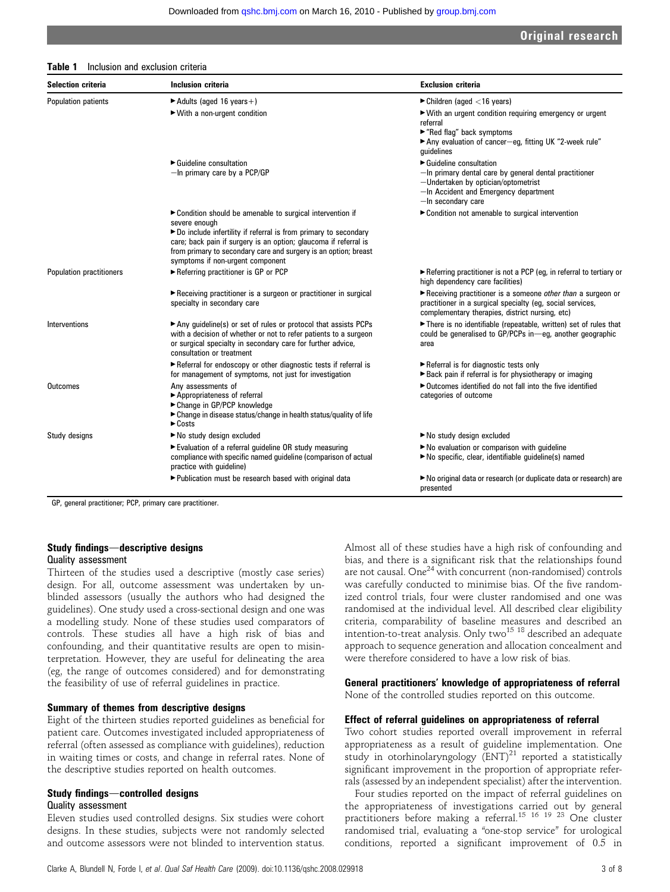the descriptive studies reported on health outcomes.

## Study findings-controlled designs

#### Quality assessment

Eleven studies used controlled designs. Six studies were cohort designs. In these studies, subjects were not randomly selected and outcome assessors were not blinded to intervention status.

Almost all of these studies have a high risk of confounding and bias, and there is a significant risk that the relationships found are not causal. One<sup>24</sup> with concurrent (non-randomised) controls was carefully conducted to minimise bias. Of the five randomized control trials, four were cluster randomised and one was randomised at the individual level. All described clear eligibility criteria, comparability of baseline measures and described an intention-to-treat analysis. Only two<sup>15 18</sup> described an adequate approach to sequence generation and allocation concealment and were therefore considered to have a low risk of bias.

## General practitioners' knowledge of appropriateness of referral

None of the controlled studies reported on this outcome.

## Effect of referral guidelines on appropriateness of referral

Two cohort studies reported overall improvement in referral appropriateness as a result of guideline implementation. One study in otorhinolaryngology  $(ENT)^{21}$  reported a statistically significant improvement in the proportion of appropriate referrals (assessed by an independent specialist) after the intervention.

Four studies reported on the impact of referral guidelines on the appropriateness of investigations carried out by general practitioners before making a referral.<sup>15 16 19 23</sup> One cluster randomised trial, evaluating a "one-stop service" for urological conditions, reported a significant improvement of 0.5 in

## Table 1 Inclusion and exclusion criteria

| <b>Selection criteria</b>  | <b>Inclusion criteria</b>                                                                                                                                                                                                                                                                                                   | <b>Exclusion criteria</b>                                                                                                                                                                                    |
|----------------------------|-----------------------------------------------------------------------------------------------------------------------------------------------------------------------------------------------------------------------------------------------------------------------------------------------------------------------------|--------------------------------------------------------------------------------------------------------------------------------------------------------------------------------------------------------------|
| <b>Population patients</b> | $\blacktriangleright$ Adults (aged 16 years +)                                                                                                                                                                                                                                                                              | $\blacktriangleright$ Children (aged <16 years)                                                                                                                                                              |
|                            | ► With a non-urgent condition                                                                                                                                                                                                                                                                                               | ► With an urgent condition requiring emergency or urgent<br>referral<br>► "Red flag" back symptoms<br>Any evaluation of cancer-eq, fitting UK "2-week rule"<br>quidelines                                    |
|                            | $\blacktriangleright$ Guideline consultation<br>-In primary care by a PCP/GP                                                                                                                                                                                                                                                | $\blacktriangleright$ Guideline consultation<br>-In primary dental care by general dental practitioner<br>-Undertaken by optician/optometrist<br>-In Accident and Emergency department<br>-In secondary care |
|                            | ► Condition should be amenable to surgical intervention if<br>severe enough<br>► Do include infertility if referral is from primary to secondary<br>care; back pain if surgery is an option; glaucoma if referral is<br>from primary to secondary care and surgery is an option; breast<br>symptoms if non-urgent component | ► Condition not amenable to surgical intervention                                                                                                                                                            |
| Population practitioners   | Referring practitioner is GP or PCP                                                                                                                                                                                                                                                                                         | ► Referring practitioner is not a PCP (eg, in referral to tertiary or<br>high dependency care facilities)                                                                                                    |
|                            | Receiving practitioner is a surgeon or practitioner in surgical<br>specialty in secondary care                                                                                                                                                                                                                              | $\blacktriangleright$ Receiving practitioner is a someone other than a surgeon or<br>practitioner in a surgical specialty (eg, social services,<br>complementary therapies, district nursing, etc)           |
| Interventions              | Any guideline(s) or set of rules or protocol that assists PCPs<br>with a decision of whether or not to refer patients to a surgeon<br>or surgical specialty in secondary care for further advice,<br>consultation or treatment                                                                                              | There is no identifiable (repeatable, written) set of rules that<br>could be generalised to GP/PCPs in—eg, another geographic<br>area                                                                        |
|                            | Referral for endoscopy or other diagnostic tests if referral is<br>for management of symptoms, not just for investigation                                                                                                                                                                                                   | Referral is for diagnostic tests only<br>Back pain if referral is for physiotherapy or imaging                                                                                                               |
| Outcomes                   | Any assessments of<br>▶ Appropriateness of referral<br>► Change in GP/PCP knowledge<br>► Change in disease status/change in health status/quality of life<br>$\triangleright$ Costs                                                                                                                                         | ▶ Outcomes identified do not fall into the five identified<br>categories of outcome                                                                                                                          |
| Study designs              | ► No study design excluded                                                                                                                                                                                                                                                                                                  | ► No study design excluded                                                                                                                                                                                   |
|                            | Evaluation of a referral quideline OR study measuring<br>compliance with specific named guideline (comparison of actual<br>practice with guideline)                                                                                                                                                                         | No evaluation or comparison with quideline<br>$\blacktriangleright$ No specific, clear, identifiable quideline(s) named                                                                                      |
|                            | ▶ Publication must be research based with original data                                                                                                                                                                                                                                                                     | No original data or research (or duplicate data or research) are<br>presented                                                                                                                                |

Downloaded from [qshc.bmj.com](http://qshc.bmj.com/) on March 16, 2010 - Published by [group.bmj.com](http://group.bmj.com/)

GP, general practitioner; PCP, primary care practitioner.

#### Study findings—descriptive designs Quality assessment

Thirteen of the studies used a descriptive (mostly case series) design. For all, outcome assessment was undertaken by unblinded assessors (usually the authors who had designed the guidelines). One study used a cross-sectional design and one was a modelling study. None of these studies used comparators of controls. These studies all have a high risk of bias and confounding, and their quantitative results are open to misinterpretation. However, they are useful for delineating the area (eg, the range of outcomes considered) and for demonstrating the feasibility of use of referral guidelines in practice.

## Summary of themes from descriptive designs

Eight of the thirteen studies reported guidelines as beneficial for patient care. Outcomes investigated included appropriateness of referral (often assessed as compliance with guidelines), reduction in waiting times or costs, and change in referral rates. None of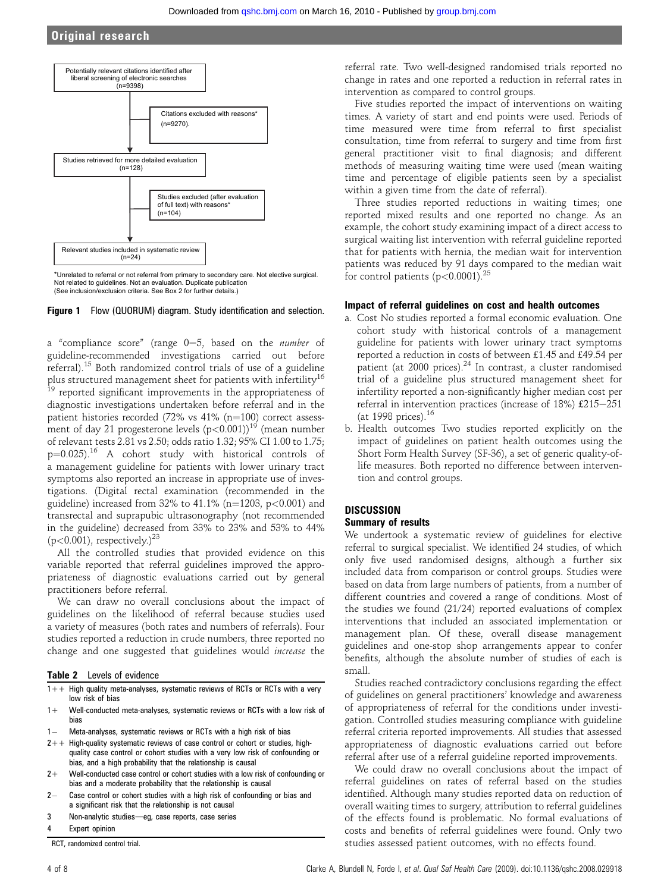

\*Unrelated to referral or not referral from primary to secondary care. Not elective surgical. Not related to guidelines. Not an evaluation. Duplicate publication (See inclusion/exclusion criteria. See Box 2 for further details.)



a "compliance score" (range  $0-5$ , based on the *number* of guideline-recommended investigations carried out before referral).<sup>15</sup> Both randomized control trials of use of a guideline plus structured management sheet for patients with infertility<sup>16</sup> <sup>19</sup> reported significant improvements in the appropriateness of diagnostic investigations undertaken before referral and in the patient histories recorded (72% vs 41% (n=100) correct assessment of day 21 progesterone levels  $(p<0.001)$ <sup>19</sup> (mean number of relevant tests 2.81 vs 2.50; odds ratio 1.32; 95% CI 1.00 to 1.75;  $p=0.025$ ).<sup>16</sup> A cohort study with historical controls of a management guideline for patients with lower urinary tract symptoms also reported an increase in appropriate use of investigations. (Digital rectal examination (recommended in the guideline) increased from  $32\%$  to  $41.1\%$  (n=1203, p<0.001) and transrectal and suprapubic ultrasonography (not recommended in the guideline) decreased from 33% to 23% and 53% to 44% (p<0.001), respectively.) $^{23}$ 

All the controlled studies that provided evidence on this variable reported that referral guidelines improved the appropriateness of diagnostic evaluations carried out by general practitioners before referral.

We can draw no overall conclusions about the impact of guidelines on the likelihood of referral because studies used a variety of measures (both rates and numbers of referrals). Four studies reported a reduction in crude numbers, three reported no change and one suggested that guidelines would increase the

Table 2 Levels of evidence

- 1++ High quality meta-analyses, systematic reviews of RCTs or RCTs with a very low risk of bias
- 1+ Well-conducted meta-analyses, systematic reviews or RCTs with a low risk of bias
- $1 -$ Meta-analyses, systematic reviews or RCTs with a high risk of bias
- 2++ High-quality systematic reviews of case control or cohort or studies, highquality case control or cohort studies with a very low risk of confounding or bias, and a high probability that the relationship is causal
- 2+ Well-conducted case control or cohort studies with a low risk of confounding or bias and a moderate probability that the relationship is causal
- $2-$  Case control or cohort studies with a high risk of confounding or bias and a significant risk that the relationship is not causal
- 3 Non-analytic studies-eg, case reports, case series
- **Expert opinion**

RCT, randomized control trial.

referral rate. Two well-designed randomised trials reported no change in rates and one reported a reduction in referral rates in intervention as compared to control groups.

Five studies reported the impact of interventions on waiting times. A variety of start and end points were used. Periods of time measured were time from referral to first specialist consultation, time from referral to surgery and time from first general practitioner visit to final diagnosis; and different methods of measuring waiting time were used (mean waiting time and percentage of eligible patients seen by a specialist within a given time from the date of referral).

Three studies reported reductions in waiting times; one reported mixed results and one reported no change. As an example, the cohort study examining impact of a direct access to surgical waiting list intervention with referral guideline reported that for patients with hernia, the median wait for intervention patients was reduced by 91 days compared to the median wait for control patients  $(p<0.0001)^{25}$ 

#### Impact of referral guidelines on cost and health outcomes

- a. Cost No studies reported a formal economic evaluation. One cohort study with historical controls of a management guideline for patients with lower urinary tract symptoms reported a reduction in costs of between £1.45 and £49.54 per patient (at 2000 prices).<sup>24</sup> In contrast, a cluster randomised trial of a guideline plus structured management sheet for infertility reported a non-significantly higher median cost per referral in intervention practices (increase of  $18\%$ ) £215-251 (at 1998 prices).<sup>16</sup>
- b. Health outcomes Two studies reported explicitly on the impact of guidelines on patient health outcomes using the Short Form Health Survey (SF-36), a set of generic quality-oflife measures. Both reported no difference between intervention and control groups.

## **DISCUSSION**

## Summary of results

We undertook a systematic review of guidelines for elective referral to surgical specialist. We identified 24 studies, of which only five used randomised designs, although a further six included data from comparison or control groups. Studies were based on data from large numbers of patients, from a number of different countries and covered a range of conditions. Most of the studies we found (21/24) reported evaluations of complex interventions that included an associated implementation or management plan. Of these, overall disease management guidelines and one-stop shop arrangements appear to confer benefits, although the absolute number of studies of each is small.

Studies reached contradictory conclusions regarding the effect of guidelines on general practitioners' knowledge and awareness of appropriateness of referral for the conditions under investigation. Controlled studies measuring compliance with guideline referral criteria reported improvements. All studies that assessed appropriateness of diagnostic evaluations carried out before referral after use of a referral guideline reported improvements.

We could draw no overall conclusions about the impact of referral guidelines on rates of referral based on the studies identified. Although many studies reported data on reduction of overall waiting times to surgery, attribution to referral guidelines of the effects found is problematic. No formal evaluations of costs and benefits of referral guidelines were found. Only two studies assessed patient outcomes, with no effects found.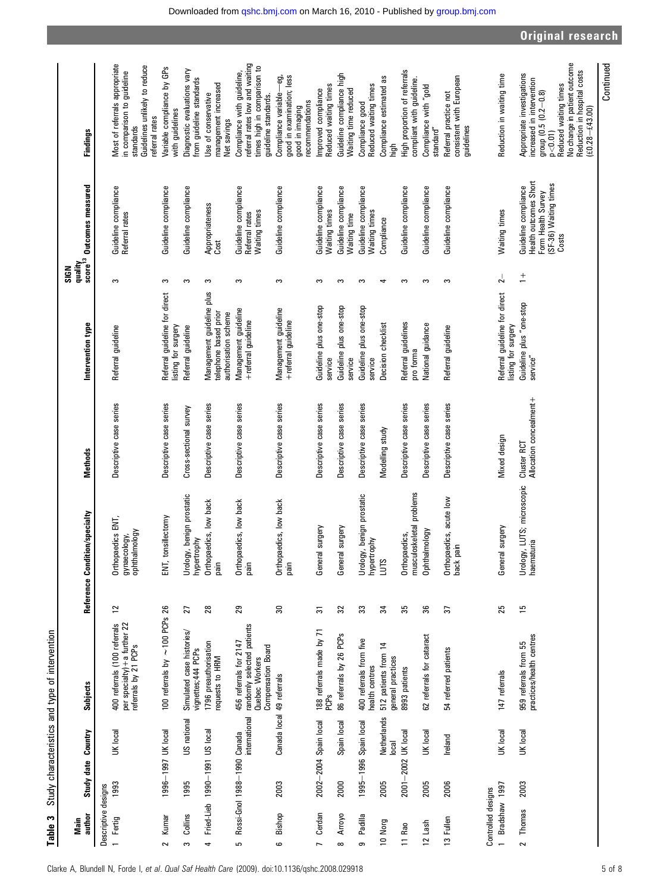Table 3 Study characteristics and type of intervention Table 3 Study characteristics and type of intervention

|                                        |                                                                                                                             |                                                     |                                                         |                                                                            |                                                                                                                     |                                                                                         |                                              |                                                   |                                           |                                           |                                                           |                                    |                                                                 |                                                      | Original research                                                                                                                                                                                            |           |
|----------------------------------------|-----------------------------------------------------------------------------------------------------------------------------|-----------------------------------------------------|---------------------------------------------------------|----------------------------------------------------------------------------|---------------------------------------------------------------------------------------------------------------------|-----------------------------------------------------------------------------------------|----------------------------------------------|---------------------------------------------------|-------------------------------------------|-------------------------------------------|-----------------------------------------------------------|------------------------------------|-----------------------------------------------------------------|------------------------------------------------------|--------------------------------------------------------------------------------------------------------------------------------------------------------------------------------------------------------------|-----------|
| <b>Findings</b>                        | Most of referrals appropriate<br>Guidelines unlikely to reduce<br>in comparison to guideline<br>referral rates<br>standards | Variable compliance by GPs<br>with guidelines       | Diagnostic evaluations vary<br>from guideline standards | management increased<br>Use of conservative<br>Net savings                 | referral rates low and waiting<br>times high in comparison to<br>Compliance with guideline,<br>guideline standards. | good in examination; less<br>Compliance variable-<br>recommendations<br>good in imaging | Reduced waiting times<br>Improved compliance | Guideline compliance high<br>Waiting time reduced | Reduced waiting times<br>Compliance good  | Compliance estimated as<br>high           | High proportion of referrals<br>compliant with guideline. | Compliance with "gold<br>standard" | consistent with European<br>Referral practice not<br>guidelines | Reduction in waiting time                            | No change in patient outcome<br>Reduction in hospital costs<br>Appropriate investigations<br>increased in intervention<br>Reduced waiting times<br>group $(0.5 (0.2 - 0.8)$<br>$(28 - 28 - 43.00)$<br>p<0.01 | Continued |
| <b>Outcomes measured</b>               | Guideline compliance<br>Referral rates                                                                                      | Guideline compliance                                | Guideline compliance                                    | Appropriateness<br>Cost                                                    | Guideline compliance<br>Waiting times<br>Referral rates                                                             | Guideline compliance                                                                    | Guideline compliance<br>Waiting times        | Guideline compliance<br>Waiting time              | Guideline compliance<br>Waiting times     | Compliance                                | Guideline compliance                                      | Guideline compliance               | Guideline compliance                                            | Waiting times                                        | Health outcomes Short<br>Form Health Survey<br>(SF-36) Waiting times<br>Guideline compliance<br>Costs                                                                                                        |           |
| quality<br>score <sup>13</sup><br>SIGN | S                                                                                                                           | S                                                   | S                                                       | S                                                                          | S                                                                                                                   | S                                                                                       | S                                            | S                                                 | S                                         | 4                                         | S                                                         | S                                  | S                                                               | $\sim$                                               | $\frac{+}{-}$                                                                                                                                                                                                |           |
| Intervention type                      | Referral guideline                                                                                                          | Referral guideline for direct<br>isting for surgery | Referral guideline                                      | Management guideline plus<br>telephone based prior<br>authorisation scheme | Management guideline<br>+ referral guideline                                                                        | Management guideline<br>+referral guideline                                             | Guideline plus one-stop<br>service           | Guideline plus one-stop<br>service                | Guideline plus one-stop<br>service        | Decision checklist                        | Referral guidelines<br>pro forma                          | National guidance                  | Referral guideline                                              | Referral guideline for direct<br>listing for surgery | Guideline plus "one-stop<br>service"                                                                                                                                                                         |           |
| Methods                                | Descriptive case series                                                                                                     | Descriptive case series                             | Cross-sectional survey                                  | Descriptive case series                                                    | Descriptive case series                                                                                             | Descriptive case series                                                                 | Descriptive case series                      | Descriptive case series                           | Descriptive case series                   | Modelling study                           | Descriptive case series                                   | Descriptive case series            | Descriptive case series                                         | Mixed design                                         | Allocation concealment+<br>Cluster RCT                                                                                                                                                                       |           |
| cialty<br>Reference Condition/sper     | Orthopaedics ENT,<br>ophthalmology<br>gynaecology,                                                                          | ENT, tonsillectomy                                  | Urology, benign prostatic<br>hypertrophy                | ow back<br>Orthopaedics,<br>pain                                           | low back<br>Orthopaedics,<br>pain                                                                                   | low back<br>Orthopaedics,<br>pain                                                       | General surgery                              | General surgery                                   | Urology, benign prostatic<br>hypertrophy  | Sun                                       | musculoskeletal problems<br>Orthopaedics,                 | Ophthalmology                      | acute low<br>Orthopaedics,<br>back pain                         | General surger                                       | microscopic<br>Urology, LUTS;<br>haematuria                                                                                                                                                                  |           |
|                                        | $\overline{12}$                                                                                                             |                                                     | 27                                                      | 28                                                                         | 29                                                                                                                  | వి                                                                                      | $\overline{5}$                               | 32                                                | 33                                        | 34                                        | 35                                                        | 36                                 | 21                                                              | 25                                                   | $\overline{15}$                                                                                                                                                                                              |           |
| <b>Subjects</b>                        | 400 referrals (100 referrals<br>per specialty) + a further 22<br>referrals by 21 PCPs                                       | 100 referrals by $\sim$ 100 PCPs 26                 | Simulated case histories/<br>vignettes;444 PCPs         | 1796 preauthorisation<br>requests to HRM                                   | randomly selected patients<br>456 referrals for 2147<br>Compensation Board<br>Quebec Workers                        |                                                                                         | 188 referrals made by 71<br><b>PCPs</b>      | 86 referrals by 26 PCPs                           | 400 referrals from five<br>health centres | 512 patients from 14<br>general practices | 8993 patients                                             | 62 referrals for cataract          | 54 referred patients                                            | 147 referrals                                        | practices/health centres<br>959 referrals from 55                                                                                                                                                            |           |
| Study date Country                     | UK local                                                                                                                    | 1996-1997 UK local                                  | US national                                             | 1990-1991 US local                                                         | international<br>Rossi-Gnol 1988-1990 Canada                                                                        | Canada local 49 referrals                                                               | 2002-2004 Spain local                        | Spain local                                       | 1995-1996 Spain local                     | Netherlands<br>local                      | 2001-2002 UK local                                        | UK local                           | Ireland                                                         | UK local                                             | UK local                                                                                                                                                                                                     |           |
|                                        | 1993                                                                                                                        |                                                     | 1995                                                    |                                                                            |                                                                                                                     | 2003                                                                                    |                                              | 2000                                              |                                           | 2005                                      |                                                           | 2005                               | 2006                                                            |                                                      | 2003                                                                                                                                                                                                         |           |
| author<br>Main                         | Descriptive designs<br>Fertig                                                                                               | Kumar<br>$\sim$                                     | Collins<br>S                                            | Fried-Lieb<br>4                                                            | ç                                                                                                                   | Bishop<br>ဖ                                                                             | Cerdan                                       | Arroyo<br>$\infty$                                | Padilla<br>െ                              | 10 Norg                                   | 11 Rao                                                    | 12 Lash                            | 13 Fullen                                                       | Bradshaw 1997<br>Controlled designs                  | Thomas<br>$\sim$                                                                                                                                                                                             |           |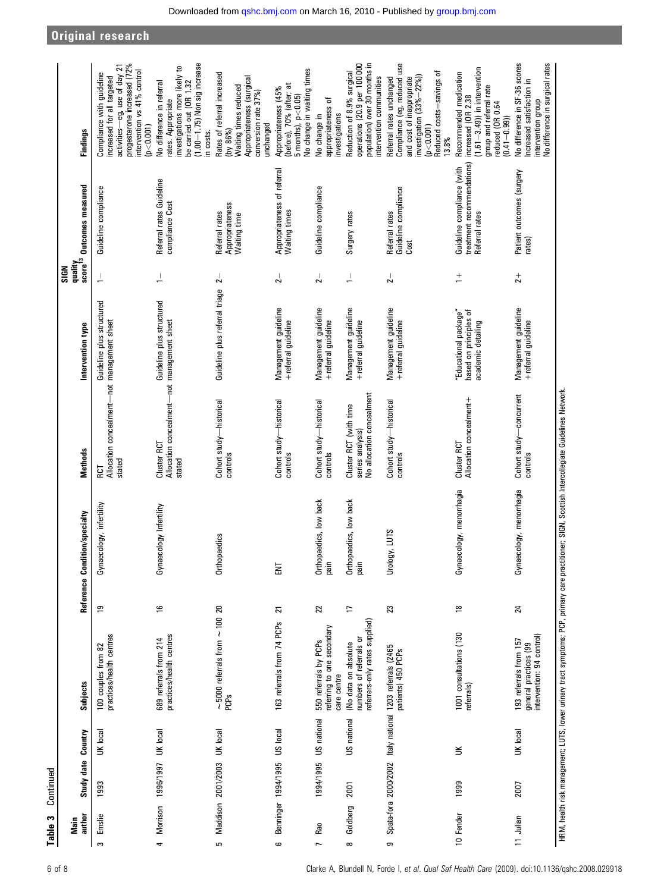|          | author<br>Main | Study date Country            |             | Subjects                                                                          |                | Reference Condition/specialty  | <b>Methods</b>                                                          | Intervention type                                                     | quality<br>score <sup>13</sup><br>SIGN | Outcomes measured                                                          | Findings                                                                                                                                                                  |
|----------|----------------|-------------------------------|-------------|-----------------------------------------------------------------------------------|----------------|--------------------------------|-------------------------------------------------------------------------|-----------------------------------------------------------------------|----------------------------------------|----------------------------------------------------------------------------|---------------------------------------------------------------------------------------------------------------------------------------------------------------------------|
| $\sim$   | Emslie         | 1993                          | UK local    | practices/health centres<br>100 couples from 82                                   | $\overline{e}$ | Gynaecology, infertility       | Allocation concealment-not management sheet<br>stated<br>RCT            | Guideline plus structured                                             | $\frac{1}{\sqrt{2}}$                   | Guideline compliance                                                       | progesterone increased (72%<br>activities-eg, use of day 21<br>intervention vs 41% control<br>Compliance with guideline<br>increased for all targeted<br>(p < 0.001)      |
|          |                | 4 Morrison 1996/1997 UK local |             | practices/health centres<br>689 referrals from 214                                | $\frac{6}{1}$  | Gynaecology Infertility        | Allocation concealment-not management sheet<br>Cluster RCT<br>stated    | Guideline plus structured                                             | $\frac{1}{\sqrt{2}}$                   | Referral rates Guideline<br>compliance Cost                                | $(1.00 - 1.75)$ Non sig increase<br>investigations more likely to<br>be carried out (OR 1.32<br>No difference in referral<br>rates. Appropriate<br>in costs.              |
| cu       |                | Maddison 2001/2003 UK local   |             | $\sim$ 5000 referrals from $\sim$ 100 20<br>PCPs                                  |                | adics<br>Orthopa               | Cohort study-historical<br>controls                                     | Guideline plus referral triage                                        | $\frac{1}{2}$                          | Appropriateness<br>Waiting time<br>Referral rates                          | Rates of referral increased<br>Appropriateness (surgical<br>Waiting times reduced<br>conversion rate 37%)<br>unchanged<br>(by 86%)                                        |
| ဖ        |                | Benninger 1994/1995           | US local    | 163 referrals from 74 PCPs                                                        | 21             | ENT                            | Cohort study-historical<br>controls                                     | Management guideline<br>+referral guideline                           | $\overline{2}$                         | Appropriateness of referral<br>Waiting times                               | No change in waiting times<br>(before), 70% (after; at<br>Appropriateness (45%<br>$5$ months), $p < 0.05$ )                                                               |
|          | Rao            | 1994/1995                     | US national | referring to one secondary<br>550 referrals by PCPs<br>care centre                | 22             | Orthopaedics, low back<br>pain | Cohort study-historical<br>controls                                     | Management guideline<br>+referral guideline                           | $2-$                                   | Guideline compliance                                                       | appropriateness of<br>investigations<br>No change in                                                                                                                      |
| $\infty$ | Goldberg       | 2001                          | US national | referrers-only rates supplied)<br>numbers of referrals or<br>(No data on absolute | $\overline{a}$ | Orthopaedics, low back<br>pain | No allocation concealment<br>Cluster RCT (with time<br>series analysis) | Management guideline<br>+ referral guideline                          | $\frac{1}{\tau}$                       | Surgery rates                                                              | population) over 30 months in<br>operations (20.9 per 100 000<br>Reduction of 8.9% surgical<br>ntervention communities                                                    |
| ക        |                |                               |             | Spata-fora 2000/2002 Italy national 1203 referrals (2465<br>patients) 450 PCPs    | 23             | SLINT <sup>2</sup><br>Urology  | Cohort study-historical<br>controls                                     | Management guideline<br>+referral guideline                           | $2-$                                   | Guideline compliance<br>Referral rates<br>Cost                             | Compliance (eg, reduced use<br>Reduced costs=savings of<br>investigation $(33\% - 22\%)$<br>and cost of inappropriate<br>Referral rates unchanged<br>(p < 0.001)<br>13.8% |
|          | 10 Fender      | 1999                          | $\leq$      | 1001 consultations (130<br>referrals)                                             | ≌              | Gynaecology, menorrhagia       | Allocation concealment+<br>Cluster RCT                                  | "Educational package"<br>based on principles of<br>academic detailing | $\frac{+}{-}$                          | treatment recommendations)<br>Guideline compliance (with<br>Referral rates | $(1.61 - 3.49)$ ) in intervention<br>Recommended medication<br>group and referral rate<br>increased (OR 2.38<br>reduced (OR 0.64<br>$(0.41 - 0.99)$                       |
|          | 11 Julian      | 2007                          | UK local    | intervention: 94 control)<br>193 referrals from 157<br>general practices (99      | 24             | Gynaecology, menorrhagia       | Cohort study-concurrent<br>controls                                     | Management guideline<br>+referral guideline                           | $\frac{1}{2}$                          | Patient outcomes (surgery<br>rates)                                        | No difference in SF-36 scores<br>Vo difference in surgical rates<br>Increased satisfaction in<br>intervention group                                                       |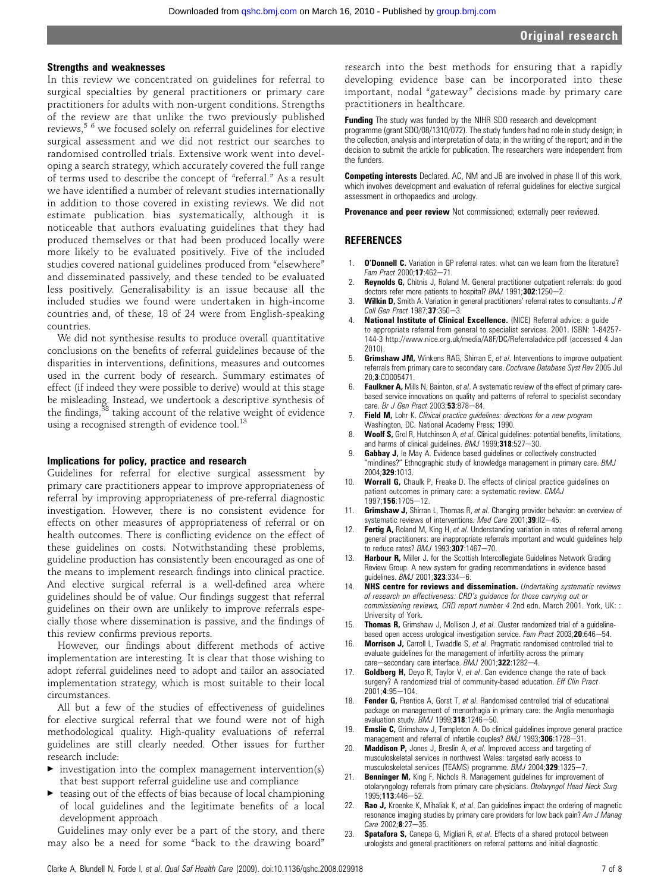## Strengths and weaknesses

In this review we concentrated on guidelines for referral to surgical specialties by general practitioners or primary care practitioners for adults with non-urgent conditions. Strengths of the review are that unlike the two previously published reviews,<sup>5 6</sup> we focused solely on referral guidelines for elective surgical assessment and we did not restrict our searches to randomised controlled trials. Extensive work went into developing a search strategy, which accurately covered the full range of terms used to describe the concept of "referral." As a result we have identified a number of relevant studies internationally in addition to those covered in existing reviews. We did not estimate publication bias systematically, although it is noticeable that authors evaluating guidelines that they had produced themselves or that had been produced locally were more likely to be evaluated positively. Five of the included studies covered national guidelines produced from "elsewhere" and disseminated passively, and these tended to be evaluated less positively. Generalisability is an issue because all the included studies we found were undertaken in high-income countries and, of these, 18 of 24 were from English-speaking countries.

We did not synthesise results to produce overall quantitative conclusions on the benefits of referral guidelines because of the disparities in interventions, definitions, measures and outcomes used in the current body of research. Summary estimates of effect (if indeed they were possible to derive) would at this stage be misleading. Instead, we undertook a descriptive synthesis of the findings, $38$  taking account of the relative weight of evidence using a recognised strength of evidence tool.<sup>13</sup>

## Implications for policy, practice and research

Guidelines for referral for elective surgical assessment by primary care practitioners appear to improve appropriateness of referral by improving appropriateness of pre-referral diagnostic investigation. However, there is no consistent evidence for effects on other measures of appropriateness of referral or on health outcomes. There is conflicting evidence on the effect of these guidelines on costs. Notwithstanding these problems, guideline production has consistently been encouraged as one of the means to implement research findings into clinical practice. And elective surgical referral is a well-defined area where guidelines should be of value. Our findings suggest that referral guidelines on their own are unlikely to improve referrals especially those where dissemination is passive, and the findings of this review confirms previous reports.

However, our findings about different methods of active implementation are interesting. It is clear that those wishing to adopt referral guidelines need to adopt and tailor an associated implementation strategy, which is most suitable to their local circumstances.

All but a few of the studies of effectiveness of guidelines for elective surgical referral that we found were not of high methodological quality. High-quality evaluations of referral guidelines are still clearly needed. Other issues for further research include:

- $\blacktriangleright$  investigation into the complex management intervention(s) that best support referral guideline use and compliance
- $\triangleright$  teasing out of the effects of bias because of local championing of local guidelines and the legitimate benefits of a local development approach

Guidelines may only ever be a part of the story, and there may also be a need for some "back to the drawing board"

research into the best methods for ensuring that a rapidly developing evidence base can be incorporated into these important, nodal "gateway" decisions made by primary care practitioners in healthcare.

**Funding** The study was funded by the NIHR SDO research and development programme (grant SDO/08/1310/072). The study funders had no role in study design; in the collection, analysis and interpretation of data; in the writing of the report; and in the decision to submit the article for publication. The researchers were independent from the funders.

Competing interests Declared. AC, NM and JB are involved in phase II of this work, which involves development and evaluation of referral guidelines for elective surgical assessment in orthopaedics and urology.

**Provenance and peer review** Not commissioned; externally peer reviewed.

## **REFERENCES**

- 1. **O'Donnell C.** Variation in GP referral rates: what can we learn from the literature? Fam Pract 2000;17:462-71.
- 2. **Reynolds G,** Chitnis J, Roland M. General practitioner outpatient referrals: do good doctors refer more patients to hospital?  $B\dot{M}$  1991; 302:1250-2.
- **Wilkin D,** Smith A. Variation in general practitioners' referral rates to consultants.  $J R$ Coll Gen Pract 1987;37:350-3.
- National Institute of Clinical Excellence. (NICE) Referral advice: a guide to appropriate referral from general to specialist services. 2001. ISBN: 1-84257- 144-3 http://www.nice.org.uk/media/A8F/DC/Referraladvice.pdf (accessed 4 Jan 2010).
- 5. Grimshaw JM, Winkens RAG, Shirran E, et al. Interventions to improve outpatient referrals from primary care to secondary care. Cochrane Database Syst Rev 2005 Jul 20;3:CD005471.
- 6. Faulkner A, Mills N, Bainton, et al. A systematic review of the effect of primary carebased service innovations on quality and patterns of referral to specialist secondary care. Br J Gen Pract 2003;53:878-84.
- 7. Field M, Lohr K. Clinical practice guidelines: directions for a new program Washington, DC. National Academy Press; 1990.
- Woolf S, Grol R, Hutchinson A, et al. Clinical guidelines: potential benefits, limitations, and harms of clinical guidelines.  $BMJ$  1999; $\overline{3}18.527-30$ .
- 9. **Gabbay J,** le May A. Evidence based guidelines or collectively constructed "mindlines?" Ethnographic study of knowledge management in primary care. BMJ 2004;329:1013.
- 10. **Worrall G,** Chaulk P, Freake D. The effects of clinical practice guidelines on patient outcomes in primary care: a systematic review. CMAJ 1997:156:1705-12
- 11. Grimshaw J, Shirran L, Thomas R, et al. Changing provider behavior: an overview of systematic reviews of interventions. Med Care 2001;39:ll2-45.
- Fertig A, Roland M, King H, et al. Understanding variation in rates of referral among general practitioners: are inappropriate referrals important and would guidelines help to reduce rates?  $BMJ$  1993; 307:1467-70.
- 13. Harbour R, Miller J. for the Scottish Intercollegiate Guidelines Network Grading Review Group. A new system for grading recommendations in evidence based guidelines.  $BMJ$  2001; 323:334-6.
- 14. NHS centre for reviews and dissemination. Undertaking systematic reviews of research on effectiveness: CRD's guidance for those carrying out or commissioning reviews, CRD report number 4 2nd edn. March 2001. York, UK: : University of York.
- 15. **Thomas R,** Grimshaw J, Mollison J, et al. Cluster randomized trial of a guidelinebased open access urological investigation service. Fam Pract 2003;20:646-54.
- 16. **Morrison J,** Carroll L, Twaddle S, et al. Pragmatic randomised controlled trial to evaluate guidelines for the management of infertility across the primary care-secondary care interface.  $\overline{BMJ}$  2001;322:1282-4.
- 17. Goldberg H, Deyo R, Taylor V, et al. Can evidence change the rate of back surgery? A randomized trial of community-based education. Eff Clin Pract  $2001 \cdot 4 \cdot 95 - 104$
- 18. Fender G, Prentice A, Gorst T, et al. Randomised controlled trial of educational package on management of menorrhagia in primary care: the Anglia menorrhagia evaluation study.  $\bar{B}$ MJ 1999;318:1246-50.
- 19. **Emslie C,** Grimshaw J, Templeton A. Do clinical guidelines improve general practice management and referral of infertile couples?  $BMJ$  1993; 306: 1728-31.
- 20. Maddison P, Jones J, Breslin A, et al. Improved access and targeting of musculoskeletal services in northwest Wales: targeted early access to musculoskeletal services (TEAMS) programme. BMJ 2004;329:1325-7.
- 21. **Benninger M,** King F, Nichols R. Management guidelines for improvement of otolaryngology referrals from primary care physicians. Otolaryngol Head Neck Surg 1995:113:446-52.
- Rao J, Kroenke K, Mihaliak K, et al. Can guidelines impact the ordering of magnetic resonance imaging studies by primary care providers for low back pain? Am J Manag  $Care 2002; 8:27 - 35.$
- 23. Spatafora S, Canepa G, Migliari R, et al. Effects of a shared protocol between urologists and general practitioners on referral patterns and initial diagnostic